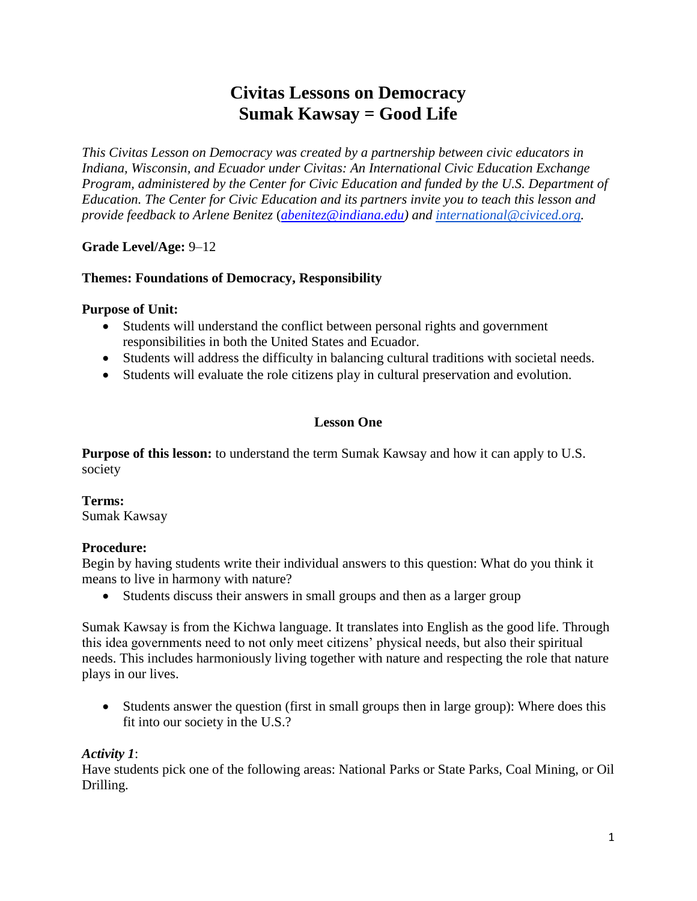# **Civitas Lessons on Democracy Sumak Kawsay = Good Life**

*This Civitas Lesson on Democracy was created by a partnership between civic educators in Indiana, Wisconsin, and Ecuador under Civitas: An International Civic Education Exchange Program, administered by the Center for Civic Education and funded by the U.S. Department of Education. The Center for Civic Education and its partners invite you to teach this lesson and provide feedback to Arlene Benitez* (*[abenitez@indiana.edu\)](mailto:abenitez@indiana.edu) and [international@civiced.org.](mailto:international@civiced.org)*

**Grade Level/Age:** 9‒12

## **Themes: Foundations of Democracy, Responsibility**

#### **Purpose of Unit:**

- Students will understand the conflict between personal rights and government responsibilities in both the United States and Ecuador.
- Students will address the difficulty in balancing cultural traditions with societal needs.
- Students will evaluate the role citizens play in cultural preservation and evolution.

## **Lesson One**

**Purpose of this lesson:** to understand the term Sumak Kawsay and how it can apply to U.S. society

## **Terms:**

Sumak Kawsay

#### **Procedure:**

Begin by having students write their individual answers to this question: What do you think it means to live in harmony with nature?

Students discuss their answers in small groups and then as a larger group

Sumak Kawsay is from the Kichwa language. It translates into English as the good life. Through this idea governments need to not only meet citizens' physical needs, but also their spiritual needs. This includes harmoniously living together with nature and respecting the role that nature plays in our lives.

• Students answer the question (first in small groups then in large group): Where does this fit into our society in the U.S.?

#### *Activity 1*:

Have students pick one of the following areas: National Parks or State Parks, Coal Mining, or Oil Drilling.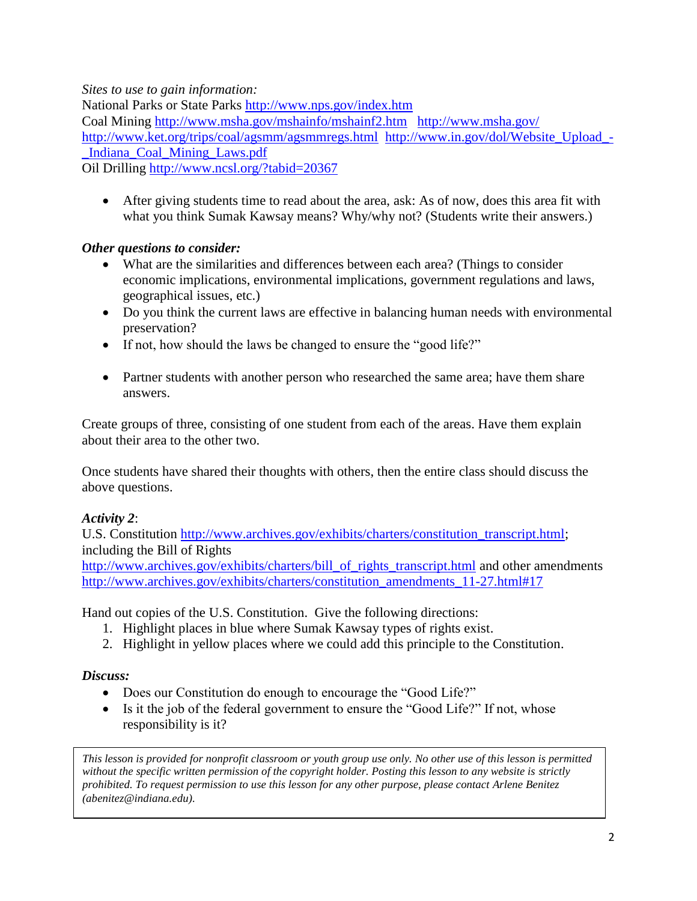*Sites to use to gain information:*

National Parks or State Parks<http://www.nps.gov/index.htm>

Coal Mining<http://www.msha.gov/mshainfo/mshainf2.htm><http://www.msha.gov/> <http://www.ket.org/trips/coal/agsmm/agsmmregs.html>[http://www.in.gov/dol/Website\\_Upload\\_-](http://www.in.gov/dol/Website_Upload_-_Indiana_Coal_Mining_Laws.pdf) [\\_Indiana\\_Coal\\_Mining\\_Laws.pdf](http://www.in.gov/dol/Website_Upload_-_Indiana_Coal_Mining_Laws.pdf) 

Oil Drilling<http://www.ncsl.org/?tabid=20367>

 After giving students time to read about the area, ask: As of now, does this area fit with what you think Sumak Kawsay means? Why/why not? (Students write their answers.)

# *Other questions to consider:*

- What are the similarities and differences between each area? (Things to consider economic implications, environmental implications, government regulations and laws, geographical issues, etc.)
- Do you think the current laws are effective in balancing human needs with environmental preservation?
- If not, how should the laws be changed to ensure the "good life?"
- Partner students with another person who researched the same area; have them share answers.

Create groups of three, consisting of one student from each of the areas. Have them explain about their area to the other two.

Once students have shared their thoughts with others, then the entire class should discuss the above questions.

# *Activity 2*:

U.S. Constitution [http://www.archives.gov/exhibits/charters/constitution\\_transcript.html;](http://www.archives.gov/exhibits/charters/constitution_transcript.html) including the Bill of Rights

[http://www.archives.gov/exhibits/charters/bill\\_of\\_rights\\_transcript.html](http://www.archives.gov/exhibits/charters/bill_of_rights_transcript.html) and other amendments [http://www.archives.gov/exhibits/charters/constitution\\_amendments\\_11-27.html#17](http://www.archives.gov/exhibits/charters/constitution_amendments_11-27.html#17)

Hand out copies of the U.S. Constitution. Give the following directions:

- 1. Highlight places in blue where Sumak Kawsay types of rights exist.
- 2. Highlight in yellow places where we could add this principle to the Constitution.

# *Discuss:*

- Does our Constitution do enough to encourage the "Good Life?"
- Is it the job of the federal government to ensure the "Good Life?" If not, whose responsibility is it?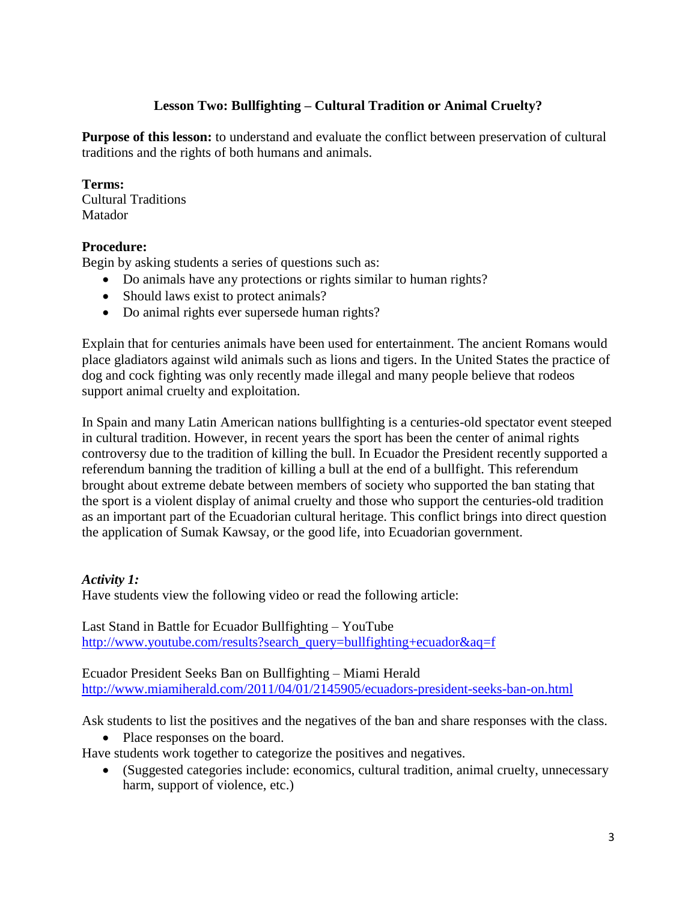## **Lesson Two: Bullfighting – Cultural Tradition or Animal Cruelty?**

**Purpose of this lesson:** to understand and evaluate the conflict between preservation of cultural traditions and the rights of both humans and animals.

#### **Terms:**

Cultural Traditions Matador

## **Procedure:**

Begin by asking students a series of questions such as:

- Do animals have any protections or rights similar to human rights?
- Should laws exist to protect animals?
- Do animal rights ever supersede human rights?

Explain that for centuries animals have been used for entertainment. The ancient Romans would place gladiators against wild animals such as lions and tigers. In the United States the practice of dog and cock fighting was only recently made illegal and many people believe that rodeos support animal cruelty and exploitation.

In Spain and many Latin American nations bullfighting is a centuries-old spectator event steeped in cultural tradition. However, in recent years the sport has been the center of animal rights controversy due to the tradition of killing the bull. In Ecuador the President recently supported a referendum banning the tradition of killing a bull at the end of a bullfight. This referendum brought about extreme debate between members of society who supported the ban stating that the sport is a violent display of animal cruelty and those who support the centuries-old tradition as an important part of the Ecuadorian cultural heritage. This conflict brings into direct question the application of Sumak Kawsay, or the good life, into Ecuadorian government.

## *Activity 1:*

Have students view the following video or read the following article:

Last Stand in Battle for Ecuador Bullfighting – YouTube [http://www.youtube.com/results?search\\_query=bullfighting+ecuador&aq=f](http://www.youtube.com/results?search_query=bullfighting+ecuador&aq=f)

Ecuador President Seeks Ban on Bullfighting – Miami Herald <http://www.miamiherald.com/2011/04/01/2145905/ecuadors-president-seeks-ban-on.html>

Ask students to list the positives and the negatives of the ban and share responses with the class.

• Place responses on the board.

Have students work together to categorize the positives and negatives.

 (Suggested categories include: economics, cultural tradition, animal cruelty, unnecessary harm, support of violence, etc.)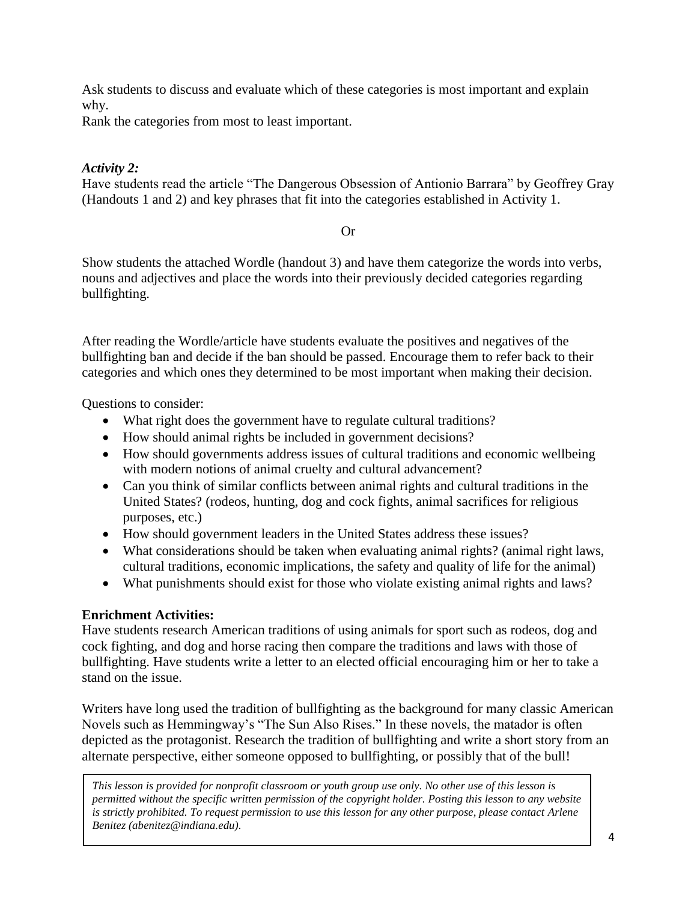Ask students to discuss and evaluate which of these categories is most important and explain why.

Rank the categories from most to least important.

## *Activity 2:*

Have students read the article "The Dangerous Obsession of Antionio Barrara" by Geoffrey Gray (Handouts 1 and 2) and key phrases that fit into the categories established in Activity 1.

Or

Show students the attached Wordle (handout 3) and have them categorize the words into verbs, nouns and adjectives and place the words into their previously decided categories regarding bullfighting.

After reading the Wordle/article have students evaluate the positives and negatives of the bullfighting ban and decide if the ban should be passed. Encourage them to refer back to their categories and which ones they determined to be most important when making their decision.

Questions to consider:

- What right does the government have to regulate cultural traditions?
- How should animal rights be included in government decisions?
- How should governments address issues of cultural traditions and economic wellbeing with modern notions of animal cruelty and cultural advancement?
- Can you think of similar conflicts between animal rights and cultural traditions in the United States? (rodeos, hunting, dog and cock fights, animal sacrifices for religious purposes, etc.)
- How should government leaders in the United States address these issues?
- What considerations should be taken when evaluating animal rights? (animal right laws, cultural traditions, economic implications, the safety and quality of life for the animal)
- What punishments should exist for those who violate existing animal rights and laws?

## **Enrichment Activities:**

Have students research American traditions of using animals for sport such as rodeos, dog and cock fighting, and dog and horse racing then compare the traditions and laws with those of bullfighting. Have students write a letter to an elected official encouraging him or her to take a stand on the issue.

Writers have long used the tradition of bullfighting as the background for many classic American Novels such as Hemmingway's "The Sun Also Rises." In these novels, the matador is often depicted as the protagonist. Research the tradition of bullfighting and write a short story from an alternate perspective, either someone opposed to bullfighting, or possibly that of the bull!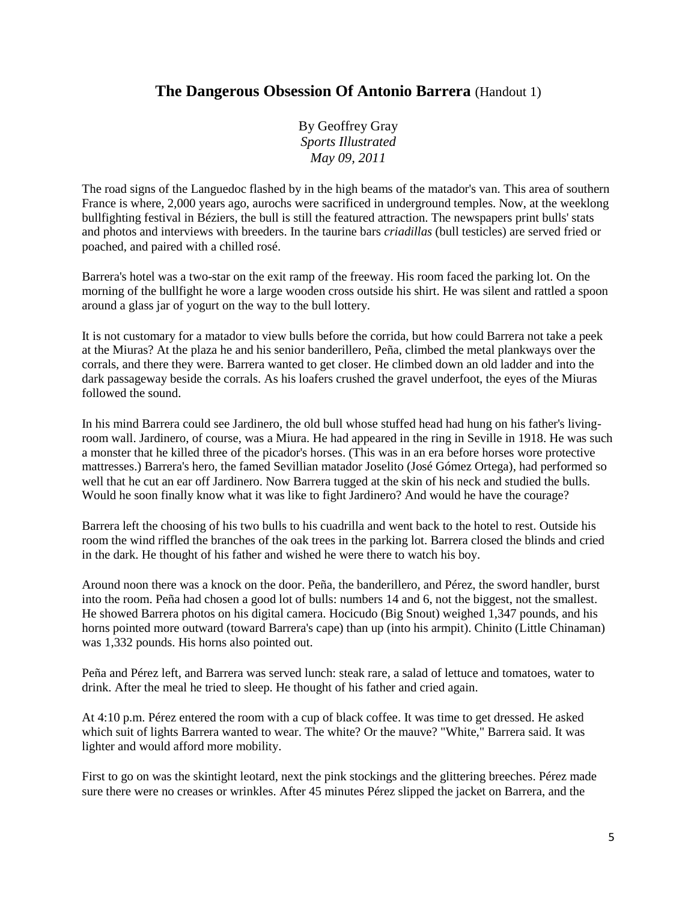# **The Dangerous Obsession Of Antonio Barrera** (Handout 1)

By Geoffrey Gray *Sports Illustrated May 09, 2011*

The road signs of the Languedoc flashed by in the high beams of the matador's van. This area of southern France is where, 2,000 years ago, aurochs were sacrificed in underground temples. Now, at the weeklong bullfighting festival in Béziers, the bull is still the featured attraction. The newspapers print bulls' stats and photos and interviews with breeders. In the taurine bars *criadillas* (bull testicles) are served fried or poached, and paired with a chilled rosé.

Barrera's hotel was a two-star on the exit ramp of the freeway. His room faced the parking lot. On the morning of the bullfight he wore a large wooden cross outside his shirt. He was silent and rattled a spoon around a glass jar of yogurt on the way to the bull lottery.

It is not customary for a matador to view bulls before the corrida, but how could Barrera not take a peek at the Miuras? At the plaza he and his senior banderillero, Peña, climbed the metal plankways over the corrals, and there they were. Barrera wanted to get closer. He climbed down an old ladder and into the dark passageway beside the corrals. As his loafers crushed the gravel underfoot, the eyes of the Miuras followed the sound.

In his mind Barrera could see Jardinero, the old bull whose stuffed head had hung on his father's livingroom wall. Jardinero, of course, was a Miura. He had appeared in the ring in Seville in 1918. He was such a monster that he killed three of the picador's horses. (This was in an era before horses wore protective mattresses.) Barrera's hero, the famed Sevillian matador Joselito (José Gómez Ortega), had performed so well that he cut an ear off Jardinero. Now Barrera tugged at the skin of his neck and studied the bulls. Would he soon finally know what it was like to fight Jardinero? And would he have the courage?

Barrera left the choosing of his two bulls to his cuadrilla and went back to the hotel to rest. Outside his room the wind riffled the branches of the oak trees in the parking lot. Barrera closed the blinds and cried in the dark. He thought of his father and wished he were there to watch his boy.

Around noon there was a knock on the door. Peña, the banderillero, and Pérez, the sword handler, burst into the room. Peña had chosen a good lot of bulls: numbers 14 and 6, not the biggest, not the smallest. He showed Barrera photos on his digital camera. Hocicudo (Big Snout) weighed 1,347 pounds, and his horns pointed more outward (toward Barrera's cape) than up (into his armpit). Chinito (Little Chinaman) was 1,332 pounds. His horns also pointed out.

Peña and Pérez left, and Barrera was served lunch: steak rare, a salad of lettuce and tomatoes, water to drink. After the meal he tried to sleep. He thought of his father and cried again.

At 4:10 p.m. Pérez entered the room with a cup of black coffee. It was time to get dressed. He asked which suit of lights Barrera wanted to wear. The white? Or the mauve? "White," Barrera said. It was lighter and would afford more mobility.

First to go on was the skintight leotard, next the pink stockings and the glittering breeches. Pérez made sure there were no creases or wrinkles. After 45 minutes Pérez slipped the jacket on Barrera, and the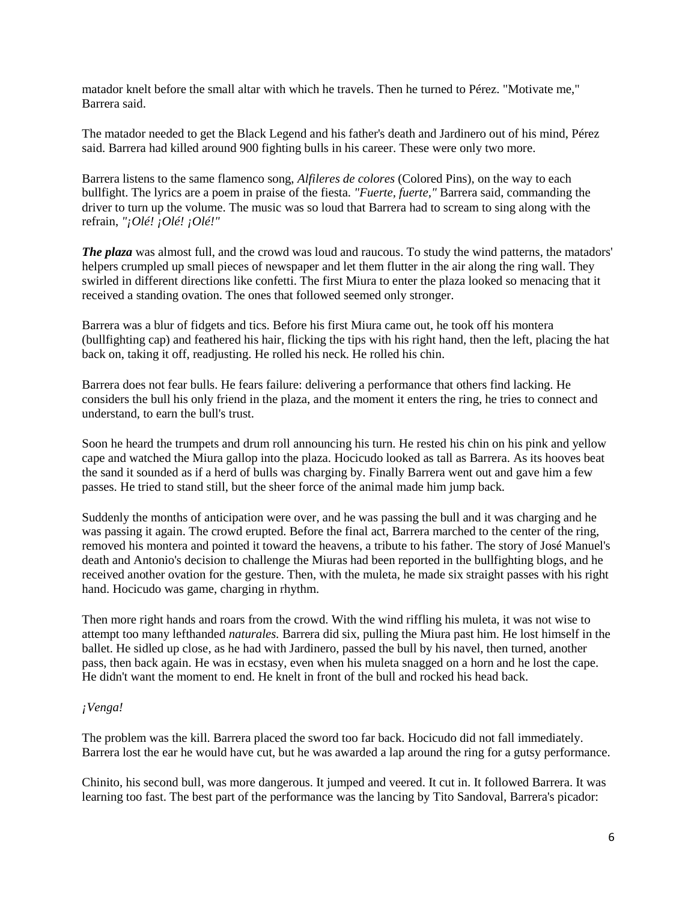matador knelt before the small altar with which he travels. Then he turned to Pérez. "Motivate me," Barrera said.

The matador needed to get the Black Legend and his father's death and Jardinero out of his mind, Pérez said. Barrera had killed around 900 fighting bulls in his career. These were only two more.

Barrera listens to the same flamenco song, *Alfileres de colores* (Colored Pins), on the way to each bullfight. The lyrics are a poem in praise of the fiesta. *"Fuerte, fuerte,"* Barrera said, commanding the driver to turn up the volume. The music was so loud that Barrera had to scream to sing along with the refrain, *"¡Olé! ¡Olé! ¡Olé!"*

*The plaza* was almost full, and the crowd was loud and raucous. To study the wind patterns, the matadors' helpers crumpled up small pieces of newspaper and let them flutter in the air along the ring wall. They swirled in different directions like confetti. The first Miura to enter the plaza looked so menacing that it received a standing ovation. The ones that followed seemed only stronger.

Barrera was a blur of fidgets and tics. Before his first Miura came out, he took off his montera (bullfighting cap) and feathered his hair, flicking the tips with his right hand, then the left, placing the hat back on, taking it off, readjusting. He rolled his neck. He rolled his chin.

Barrera does not fear bulls. He fears failure: delivering a performance that others find lacking. He considers the bull his only friend in the plaza, and the moment it enters the ring, he tries to connect and understand, to earn the bull's trust.

Soon he heard the trumpets and drum roll announcing his turn. He rested his chin on his pink and yellow cape and watched the Miura gallop into the plaza. Hocicudo looked as tall as Barrera. As its hooves beat the sand it sounded as if a herd of bulls was charging by. Finally Barrera went out and gave him a few passes. He tried to stand still, but the sheer force of the animal made him jump back.

Suddenly the months of anticipation were over, and he was passing the bull and it was charging and he was passing it again. The crowd erupted. Before the final act, Barrera marched to the center of the ring, removed his montera and pointed it toward the heavens, a tribute to his father. The story of José Manuel's death and Antonio's decision to challenge the Miuras had been reported in the bullfighting blogs, and he received another ovation for the gesture. Then, with the muleta, he made six straight passes with his right hand. Hocicudo was game, charging in rhythm.

Then more right hands and roars from the crowd. With the wind riffling his muleta, it was not wise to attempt too many lefthanded *naturales.* Barrera did six, pulling the Miura past him. He lost himself in the ballet. He sidled up close, as he had with Jardinero, passed the bull by his navel, then turned, another pass, then back again. He was in ecstasy, even when his muleta snagged on a horn and he lost the cape. He didn't want the moment to end. He knelt in front of the bull and rocked his head back.

#### *¡Venga!*

The problem was the kill. Barrera placed the sword too far back. Hocicudo did not fall immediately. Barrera lost the ear he would have cut, but he was awarded a lap around the ring for a gutsy performance.

Chinito, his second bull, was more dangerous. It jumped and veered. It cut in. It followed Barrera. It was learning too fast. The best part of the performance was the lancing by Tito Sandoval, Barrera's picador: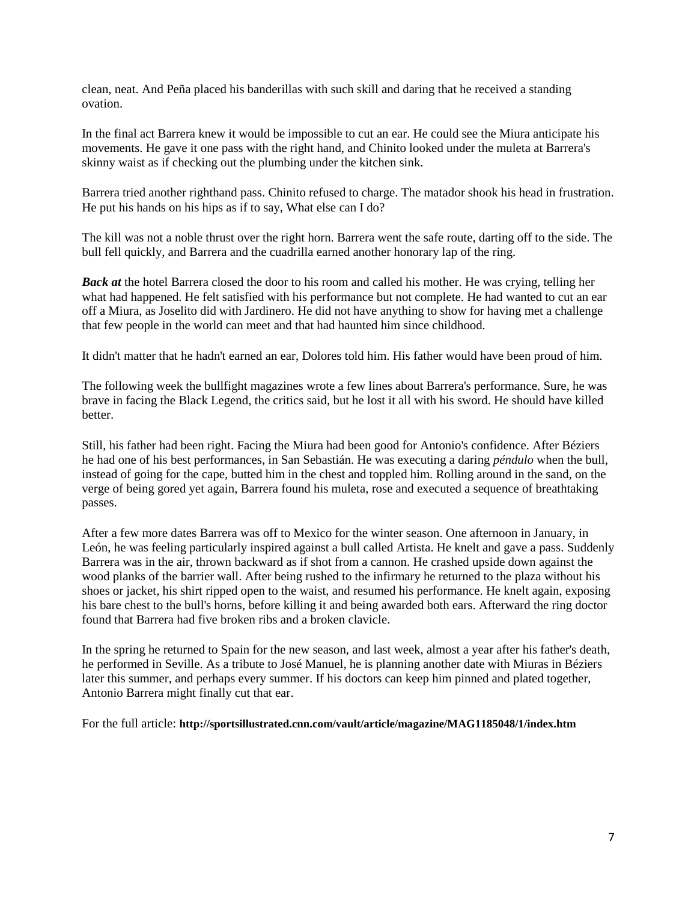clean, neat. And Peña placed his banderillas with such skill and daring that he received a standing ovation.

In the final act Barrera knew it would be impossible to cut an ear. He could see the Miura anticipate his movements. He gave it one pass with the right hand, and Chinito looked under the muleta at Barrera's skinny waist as if checking out the plumbing under the kitchen sink.

Barrera tried another righthand pass. Chinito refused to charge. The matador shook his head in frustration. He put his hands on his hips as if to say, What else can I do?

The kill was not a noble thrust over the right horn. Barrera went the safe route, darting off to the side. The bull fell quickly, and Barrera and the cuadrilla earned another honorary lap of the ring.

*Back at* the hotel Barrera closed the door to his room and called his mother. He was crying, telling her what had happened. He felt satisfied with his performance but not complete. He had wanted to cut an ear off a Miura, as Joselito did with Jardinero. He did not have anything to show for having met a challenge that few people in the world can meet and that had haunted him since childhood.

It didn't matter that he hadn't earned an ear, Dolores told him. His father would have been proud of him.

The following week the bullfight magazines wrote a few lines about Barrera's performance. Sure, he was brave in facing the Black Legend, the critics said, but he lost it all with his sword. He should have killed better.

Still, his father had been right. Facing the Miura had been good for Antonio's confidence. After Béziers he had one of his best performances, in San Sebastián. He was executing a daring *péndulo* when the bull, instead of going for the cape, butted him in the chest and toppled him. Rolling around in the sand, on the verge of being gored yet again, Barrera found his muleta, rose and executed a sequence of breathtaking passes.

After a few more dates Barrera was off to Mexico for the winter season. One afternoon in January, in León, he was feeling particularly inspired against a bull called Artista. He knelt and gave a pass. Suddenly Barrera was in the air, thrown backward as if shot from a cannon. He crashed upside down against the wood planks of the barrier wall. After being rushed to the infirmary he returned to the plaza without his shoes or jacket, his shirt ripped open to the waist, and resumed his performance. He knelt again, exposing his bare chest to the bull's horns, before killing it and being awarded both ears. Afterward the ring doctor found that Barrera had five broken ribs and a broken clavicle.

In the spring he returned to Spain for the new season, and last week, almost a year after his father's death, he performed in Seville. As a tribute to José Manuel, he is planning another date with Miuras in Béziers later this summer, and perhaps every summer. If his doctors can keep him pinned and plated together. Antonio Barrera might finally cut that ear.

For the full article: **http://sportsillustrated.cnn.com/vault/article/magazine/MAG1185048/1/index.htm**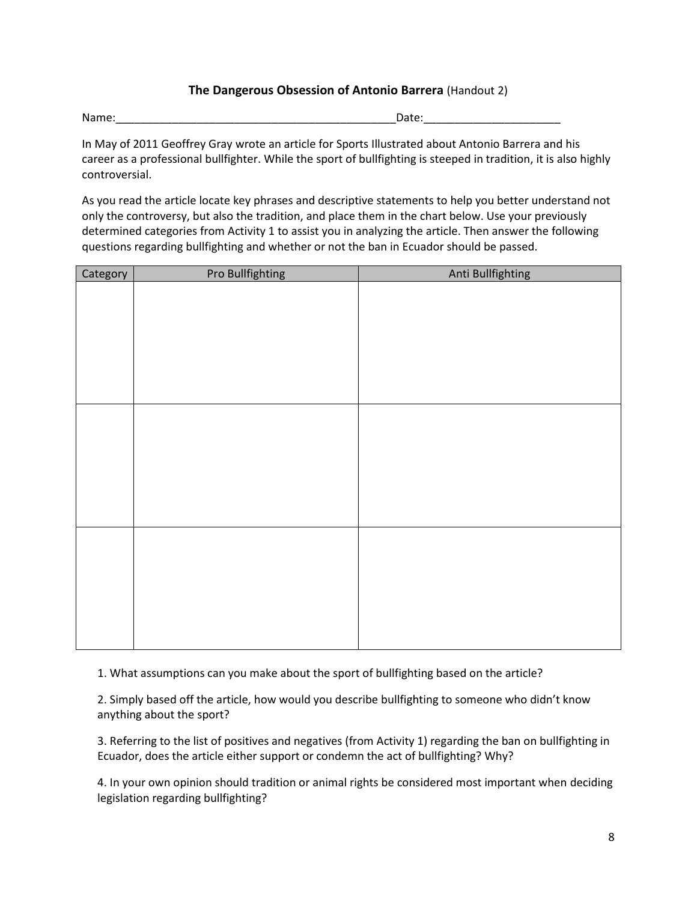#### **The Dangerous Obsession of Antonio Barrera** (Handout 2)

Name: which is a set of the control of the control of the control of the control of the control of the control of the control of the control of the control of the control of the control of the control of the control of the

In May of 2011 Geoffrey Gray wrote an article for Sports Illustrated about Antonio Barrera and his career as a professional bullfighter. While the sport of bullfighting is steeped in tradition, it is also highly controversial.

As you read the article locate key phrases and descriptive statements to help you better understand not only the controversy, but also the tradition, and place them in the chart below. Use your previously determined categories from Activity 1 to assist you in analyzing the article. Then answer the following questions regarding bullfighting and whether or not the ban in Ecuador should be passed.

| Category | Pro Bullfighting | Anti Bullfighting |
|----------|------------------|-------------------|
|          |                  |                   |
|          |                  |                   |
|          |                  |                   |
|          |                  |                   |
|          |                  |                   |
|          |                  |                   |
|          |                  |                   |
|          |                  |                   |
|          |                  |                   |
|          |                  |                   |
|          |                  |                   |
|          |                  |                   |
|          |                  |                   |
|          |                  |                   |
|          |                  |                   |
|          |                  |                   |
|          |                  |                   |
|          |                  |                   |
|          |                  |                   |
|          |                  |                   |
|          |                  |                   |

1. What assumptions can you make about the sport of bullfighting based on the article?

2. Simply based off the article, how would you describe bullfighting to someone who didn't know anything about the sport?

3. Referring to the list of positives and negatives (from Activity 1) regarding the ban on bullfighting in Ecuador, does the article either support or condemn the act of bullfighting? Why?

4. In your own opinion should tradition or animal rights be considered most important when deciding legislation regarding bullfighting?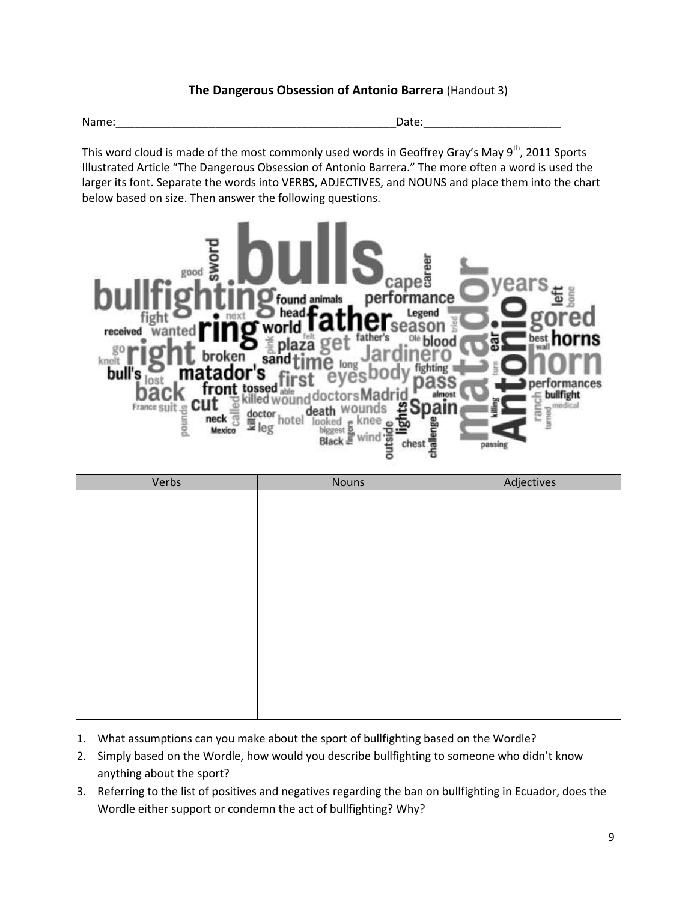#### **The Dangerous Obsession of Antonio Barrera** (Handout 3)

Name:\_\_\_\_\_\_\_\_\_\_\_\_\_\_\_\_\_\_\_\_\_\_\_\_\_\_\_\_\_\_\_\_\_\_\_\_\_\_\_\_\_\_\_\_\_Date:\_\_\_\_\_\_\_\_\_\_\_\_\_\_\_\_\_\_\_\_\_\_

This word cloud is made of the most commonly used words in Geoffrey Gray's May  $9^{th}$ , 2011 Sports Illustrated Article "The Dangerous Obsession of Antonio Barrera." The more often a word is used the larger its font. Separate the words into VERBS, ADJECTIVES, and NOUNS and place them into the chart below based on size. Then answer the following questions.



| Verbs | Nouns | Adjectives |
|-------|-------|------------|
|       |       |            |
|       |       |            |
|       |       |            |
|       |       |            |
|       |       |            |
|       |       |            |
|       |       |            |
|       |       |            |
|       |       |            |
|       |       |            |
|       |       |            |
|       |       |            |
|       |       |            |
|       |       |            |

- 1. What assumptions can you make about the sport of bullfighting based on the Wordle?
- 2. Simply based on the Wordle, how would you describe bullfighting to someone who didn't know anything about the sport?
- 3. Referring to the list of positives and negatives regarding the ban on bullfighting in Ecuador, does the Wordle either support or condemn the act of bullfighting? Why?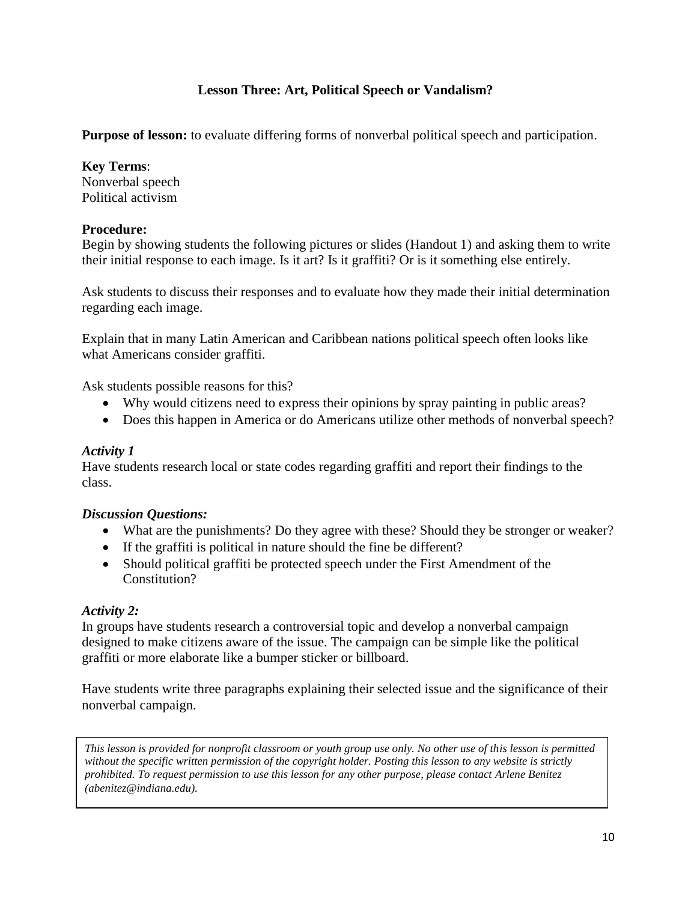## **Lesson Three: Art, Political Speech or Vandalism?**

**Purpose of lesson:** to evaluate differing forms of nonverbal political speech and participation.

#### **Key Terms**:

Nonverbal speech Political activism

#### **Procedure:**

Begin by showing students the following pictures or slides (Handout 1) and asking them to write their initial response to each image. Is it art? Is it graffiti? Or is it something else entirely.

Ask students to discuss their responses and to evaluate how they made their initial determination regarding each image.

Explain that in many Latin American and Caribbean nations political speech often looks like what Americans consider graffiti.

Ask students possible reasons for this?

- Why would citizens need to express their opinions by spray painting in public areas?
- Does this happen in America or do Americans utilize other methods of nonverbal speech?

#### *Activity 1*

Have students research local or state codes regarding graffiti and report their findings to the class.

#### *Discussion Questions:*

- What are the punishments? Do they agree with these? Should they be stronger or weaker?
- If the graffiti is political in nature should the fine be different?
- Should political graffiti be protected speech under the First Amendment of the Constitution?

#### *Activity 2:*

In groups have students research a controversial topic and develop a nonverbal campaign designed to make citizens aware of the issue. The campaign can be simple like the political graffiti or more elaborate like a bumper sticker or billboard.

Have students write three paragraphs explaining their selected issue and the significance of their nonverbal campaign.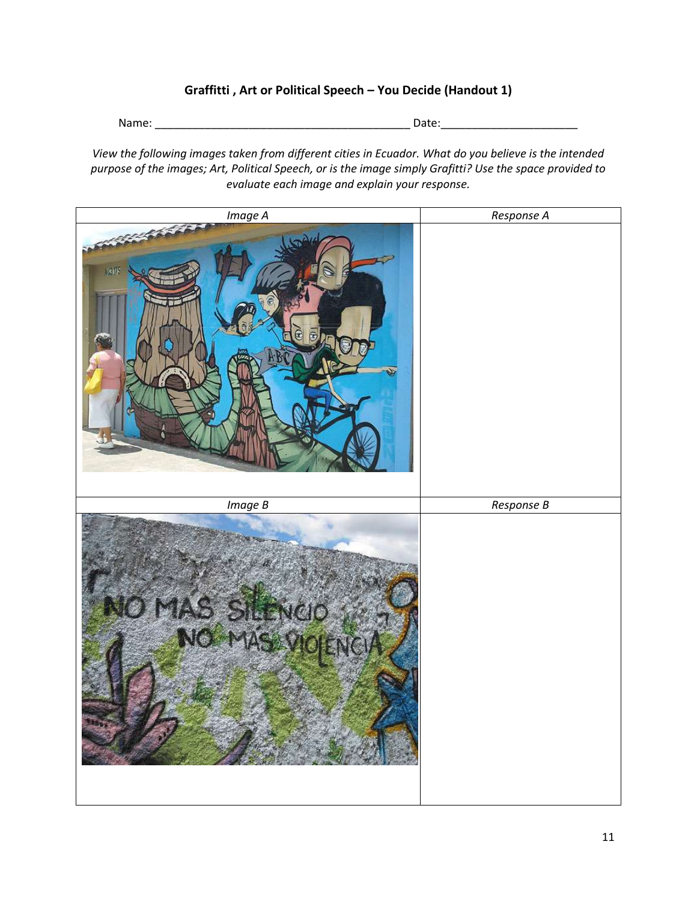#### **Graffitti , Art or Political Speech – You Decide (Handout 1)**

Name: \_\_\_\_\_\_\_\_\_\_\_\_\_\_\_\_\_\_\_\_\_\_\_\_\_\_\_\_\_\_\_\_\_\_\_\_\_\_\_\_\_ Date:\_\_\_\_\_\_\_\_\_\_\_\_\_\_\_\_\_\_\_\_\_\_

*View the following images taken from different cities in Ecuador. What do you believe is the intended purpose of the images; Art, Political Speech, or is the image simply Grafitti? Use the space provided to evaluate each image and explain your response.*

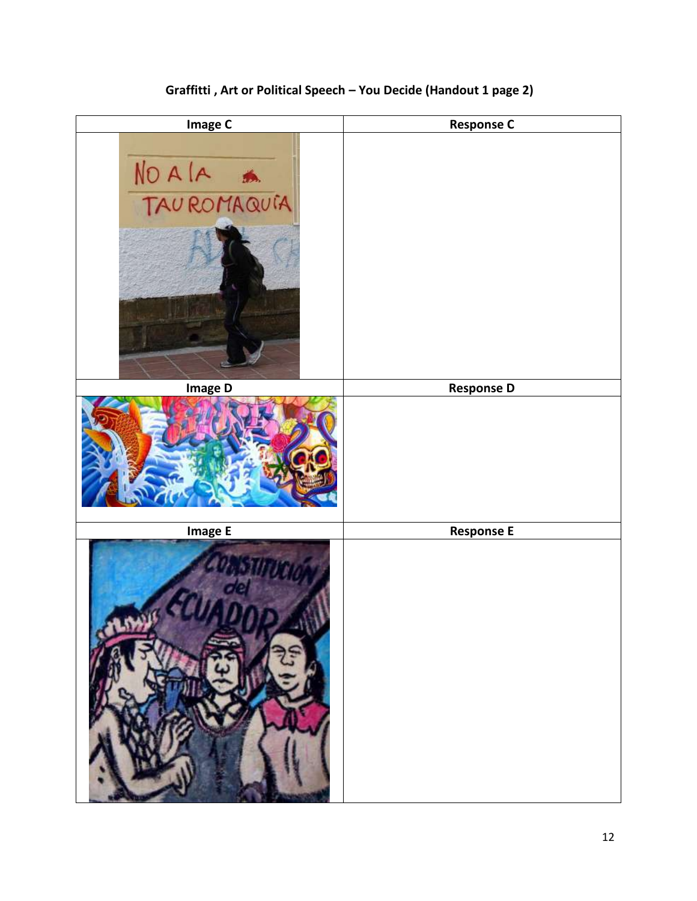

# **Graffitti , Art or Political Speech – You Decide (Handout 1 page 2)**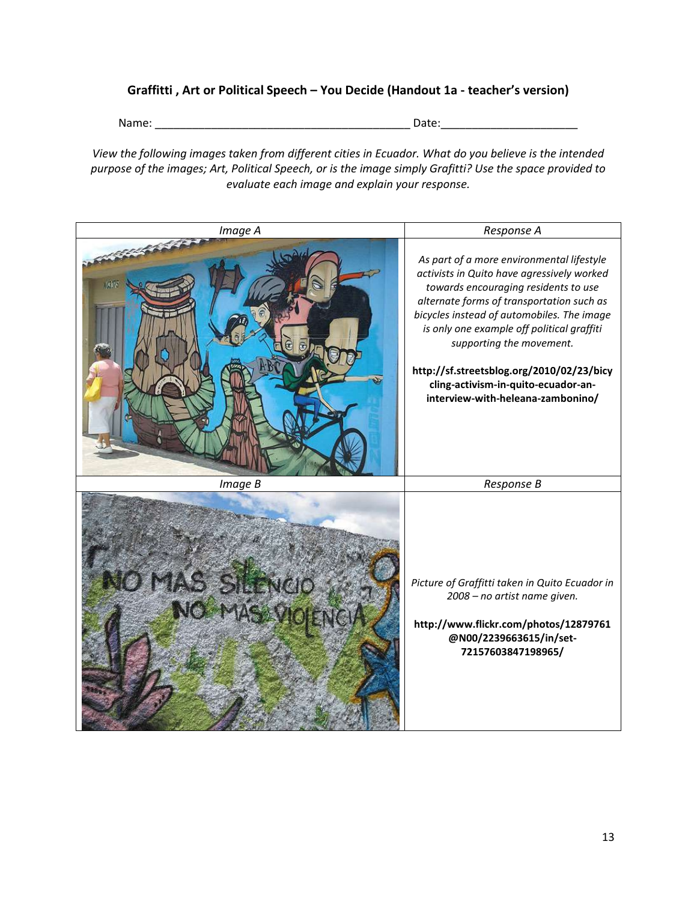#### **Graffitti , Art or Political Speech – You Decide (Handout 1a - teacher's version)**

Name: \_\_\_\_\_\_\_\_\_\_\_\_\_\_\_\_\_\_\_\_\_\_\_\_\_\_\_\_\_\_\_\_\_\_\_\_\_\_\_\_\_ Date:\_\_\_\_\_\_\_\_\_\_\_\_\_\_\_\_\_\_\_\_\_\_

*View the following images taken from different cities in Ecuador. What do you believe is the intended purpose of the images; Art, Political Speech, or is the image simply Grafitti? Use the space provided to evaluate each image and explain your response.*

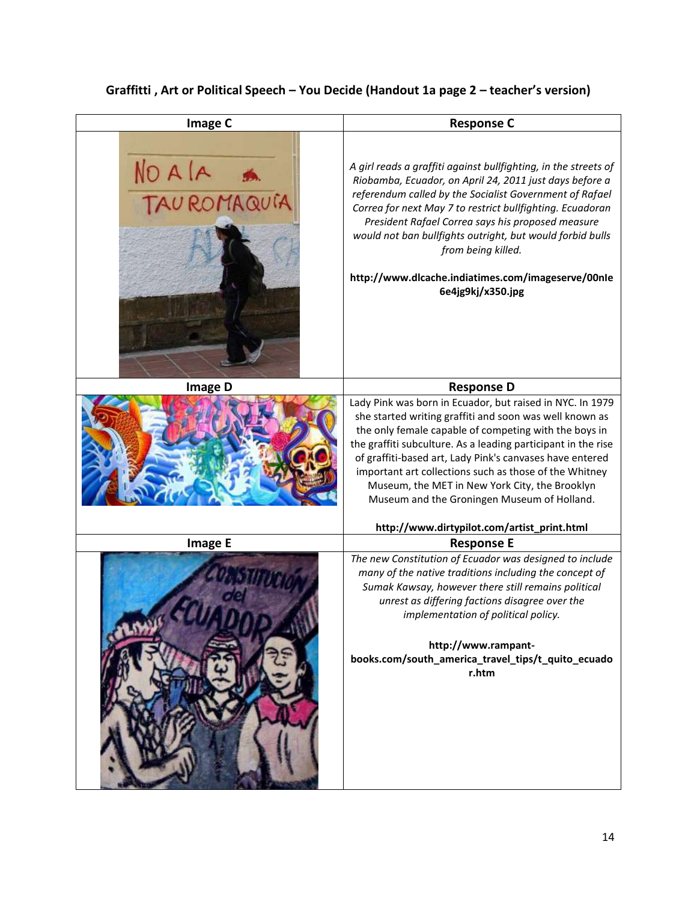# **Graffitti , Art or Political Speech – You Decide (Handout 1a page 2 – teacher's version)**

| <b>Image C</b> | <b>Response C</b>                                                                                                                                                                                                                                                                                                                                                                                                                                                     |
|----------------|-----------------------------------------------------------------------------------------------------------------------------------------------------------------------------------------------------------------------------------------------------------------------------------------------------------------------------------------------------------------------------------------------------------------------------------------------------------------------|
| NO A LA A      | A girl reads a graffiti against bullfighting, in the streets of<br>Riobamba, Ecuador, on April 24, 2011 just days before a<br>referendum called by the Socialist Government of Rafael<br>Correa for next May 7 to restrict bullfighting. Ecuadoran<br>President Rafael Correa says his proposed measure<br>would not ban bullfights outright, but would forbid bulls<br>from being killed.<br>http://www.dlcache.indiatimes.com/imageserve/00nle<br>6e4jg9kj/x350.jpg |
| <b>Image D</b> | <b>Response D</b>                                                                                                                                                                                                                                                                                                                                                                                                                                                     |
|                | Lady Pink was born in Ecuador, but raised in NYC. In 1979<br>she started writing graffiti and soon was well known as<br>the only female capable of competing with the boys in<br>the graffiti subculture. As a leading participant in the rise<br>of graffiti-based art, Lady Pink's canvases have entered<br>important art collections such as those of the Whitney<br>Museum, the MET in New York City, the Brooklyn<br>Museum and the Groningen Museum of Holland. |
|                | http://www.dirtypilot.com/artist_print.html                                                                                                                                                                                                                                                                                                                                                                                                                           |
| <b>Image E</b> | <b>Response E</b>                                                                                                                                                                                                                                                                                                                                                                                                                                                     |
|                | The new Constitution of Ecuador was designed to include<br>many of the native traditions including the concept of<br>Sumak Kawsay, however there still remains political<br>unrest as differing factions disagree over the<br>implementation of political policy.<br>http://www.rampant-<br>books.com/south_america_travel_tips/t_quito_ecuado<br>r.htm                                                                                                               |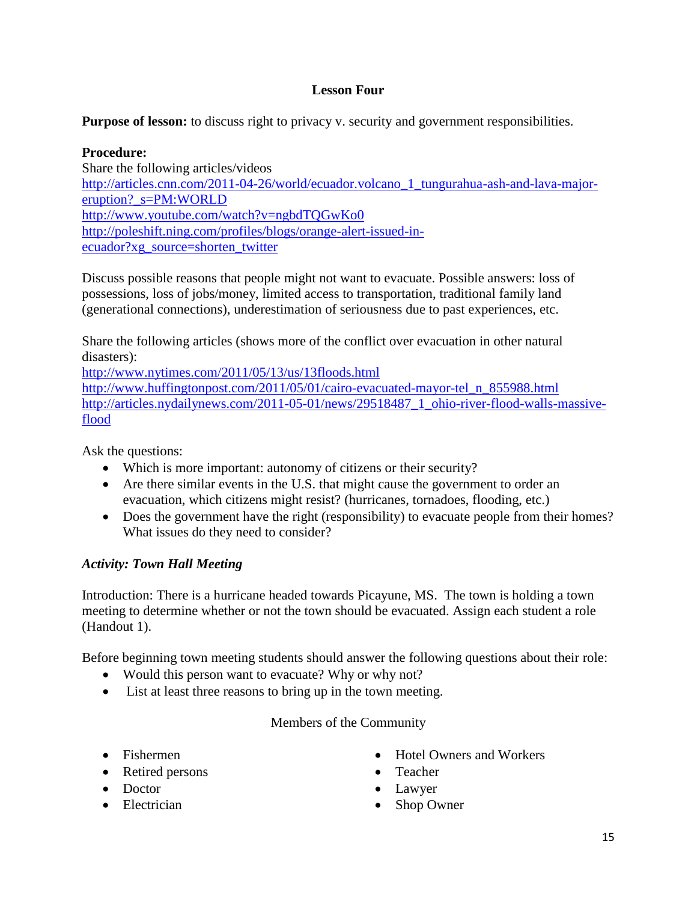## **Lesson Four**

**Purpose of lesson:** to discuss right to privacy v. security and government responsibilities.

**Procedure:** Share the following articles/videos [http://articles.cnn.com/2011-04-26/world/ecuador.volcano\\_1\\_tungurahua-ash-and-lava-major](http://articles.cnn.com/2011-04-26/world/ecuador.volcano_1_tungurahua-ash-and-lava-major-eruption?_s=PM:WORLD)[eruption?\\_s=PM:WORLD](http://articles.cnn.com/2011-04-26/world/ecuador.volcano_1_tungurahua-ash-and-lava-major-eruption?_s=PM:WORLD) <http://www.youtube.com/watch?v=ngbdTQGwKo0> [http://poleshift.ning.com/profiles/blogs/orange-alert-issued-in](http://poleshift.ning.com/profiles/blogs/orange-alert-issued-in-ecuador?xg_source=shorten_twitter)[ecuador?xg\\_source=shorten\\_twitter](http://poleshift.ning.com/profiles/blogs/orange-alert-issued-in-ecuador?xg_source=shorten_twitter)

Discuss possible reasons that people might not want to evacuate. Possible answers: loss of possessions, loss of jobs/money, limited access to transportation, traditional family land (generational connections), underestimation of seriousness due to past experiences, etc.

Share the following articles (shows more of the conflict over evacuation in other natural disasters):

<http://www.nytimes.com/2011/05/13/us/13floods.html>

[http://www.huffingtonpost.com/2011/05/01/cairo-evacuated-mayor-tel\\_n\\_855988.html](http://www.huffingtonpost.com/2011/05/01/cairo-evacuated-mayor-tel_n_855988.html) [http://articles.nydailynews.com/2011-05-01/news/29518487\\_1\\_ohio-river-flood-walls-massive](http://articles.nydailynews.com/2011-05-01/news/29518487_1_ohio-river-flood-walls-massive-flood)[flood](http://articles.nydailynews.com/2011-05-01/news/29518487_1_ohio-river-flood-walls-massive-flood)

Ask the questions:

- Which is more important: autonomy of citizens or their security?
- Are there similar events in the U.S. that might cause the government to order an evacuation, which citizens might resist? (hurricanes, tornadoes, flooding, etc.)
- Does the government have the right (responsibility) to evacuate people from their homes? What issues do they need to consider?

# *Activity: Town Hall Meeting*

Introduction: There is a hurricane headed towards Picayune, MS. The town is holding a town meeting to determine whether or not the town should be evacuated. Assign each student a role (Handout 1).

Before beginning town meeting students should answer the following questions about their role:

- Would this person want to evacuate? Why or why not?
- List at least three reasons to bring up in the town meeting.

Members of the Community

- 
- Retired persons Teacher
- 
- 
- Fishermen Hotel Owners and Workers
	-
- Doctor Lawyer
- Electrician Shop Owner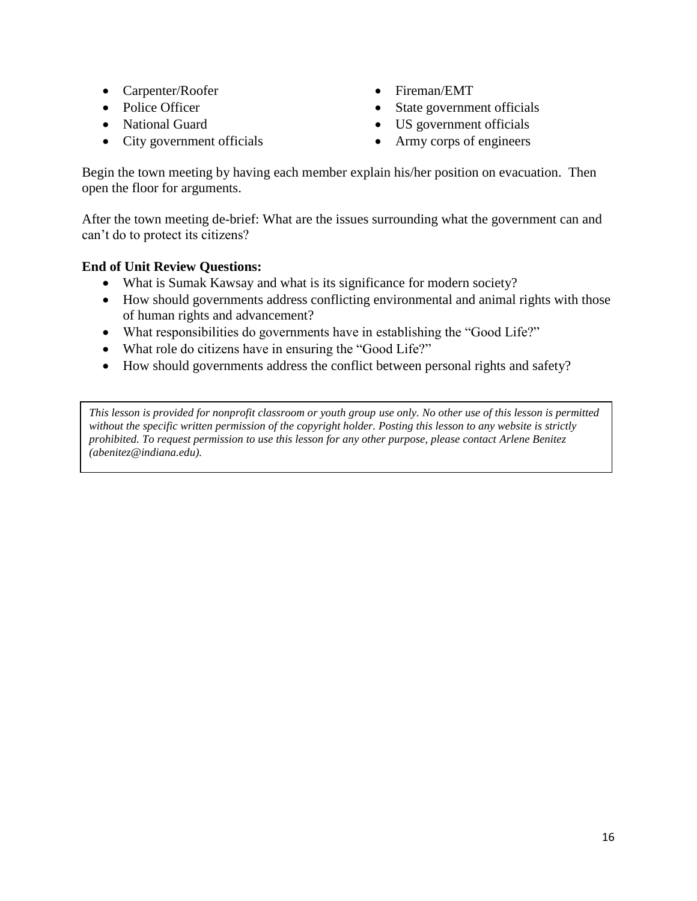- Carpenter/Roofer Fireman/EMT
- 
- 
- City government officials Army corps of engineers
- 
- Police Officer State government officials
- National Guard US government officials
	-

Begin the town meeting by having each member explain his/her position on evacuation. Then open the floor for arguments.

After the town meeting de-brief: What are the issues surrounding what the government can and can't do to protect its citizens?

## **End of Unit Review Questions:**

- What is Sumak Kawsay and what is its significance for modern society?
- How should governments address conflicting environmental and animal rights with those of human rights and advancement?
- What responsibilities do governments have in establishing the "Good Life?"
- What role do citizens have in ensuring the "Good Life?"
- How should governments address the conflict between personal rights and safety?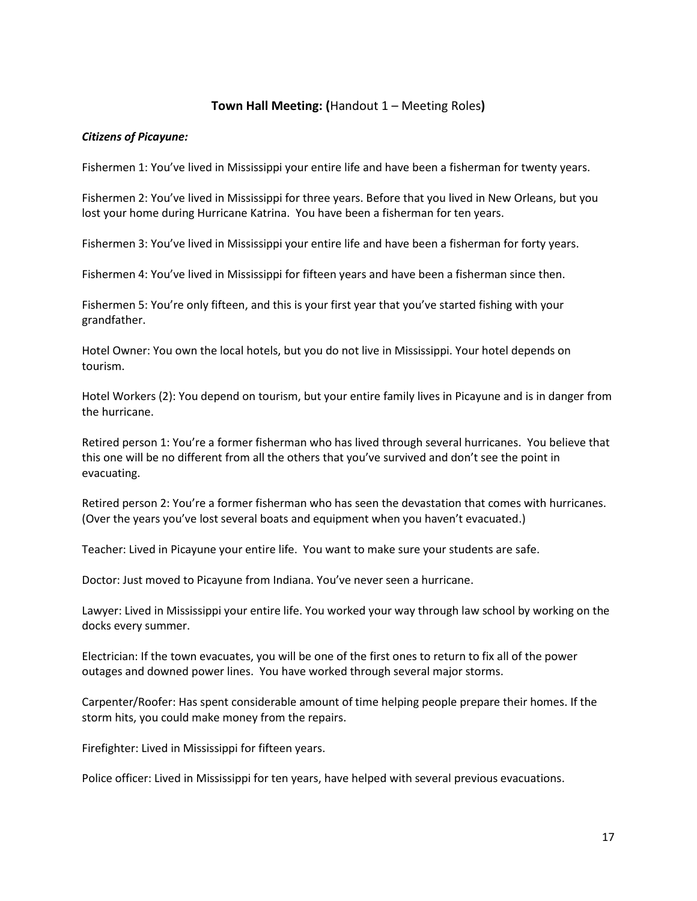#### **Town Hall Meeting: (**Handout 1 – Meeting Roles**)**

#### *Citizens of Picayune:*

Fishermen 1: You've lived in Mississippi your entire life and have been a fisherman for twenty years.

Fishermen 2: You've lived in Mississippi for three years. Before that you lived in New Orleans, but you lost your home during Hurricane Katrina. You have been a fisherman for ten years.

Fishermen 3: You've lived in Mississippi your entire life and have been a fisherman for forty years.

Fishermen 4: You've lived in Mississippi for fifteen years and have been a fisherman since then.

Fishermen 5: You're only fifteen, and this is your first year that you've started fishing with your grandfather.

Hotel Owner: You own the local hotels, but you do not live in Mississippi. Your hotel depends on tourism.

Hotel Workers (2): You depend on tourism, but your entire family lives in Picayune and is in danger from the hurricane.

Retired person 1: You're a former fisherman who has lived through several hurricanes. You believe that this one will be no different from all the others that you've survived and don't see the point in evacuating.

Retired person 2: You're a former fisherman who has seen the devastation that comes with hurricanes. (Over the years you've lost several boats and equipment when you haven't evacuated.)

Teacher: Lived in Picayune your entire life. You want to make sure your students are safe.

Doctor: Just moved to Picayune from Indiana. You've never seen a hurricane.

Lawyer: Lived in Mississippi your entire life. You worked your way through law school by working on the docks every summer.

Electrician: If the town evacuates, you will be one of the first ones to return to fix all of the power outages and downed power lines. You have worked through several major storms.

Carpenter/Roofer: Has spent considerable amount of time helping people prepare their homes. If the storm hits, you could make money from the repairs.

Firefighter: Lived in Mississippi for fifteen years.

Police officer: Lived in Mississippi for ten years, have helped with several previous evacuations.